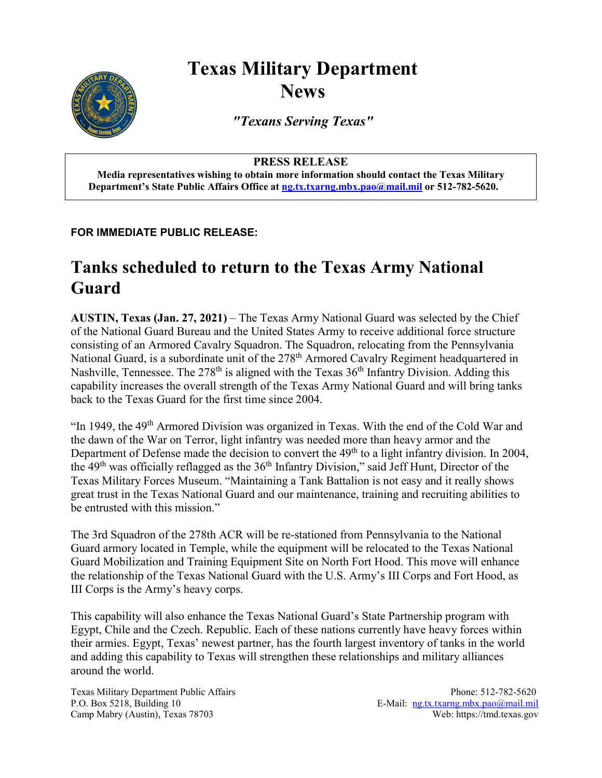## **Texas Military Department News**



*"Texans Serving Texas"*

## **PRESS RELEASE**

**Media representatives wishing to obtain more information should contact the Texas Military Department's State Public Affairs Office a[t ng.tx.txarng.mbx.pao@mail.mil](mailto:ng.tx.txarng.mbx.pao@mail.mil) or 512-782-5620.**

**FOR IMMEDIATE PUBLIC RELEASE:**

## **Tanks scheduled to return to the Texas Army National Guard**

**AUSTIN, Texas (Jan. 27, 2021)** – The Texas Army National Guard was selected by the Chief of the National Guard Bureau and the United States Army to receive additional force structure consisting of an Armored Cavalry Squadron. The Squadron, relocating from the Pennsylvania National Guard, is a subordinate unit of the 278<sup>th</sup> Armored Cavalry Regiment headquartered in Nashville, Tennessee. The  $278<sup>th</sup>$  is aligned with the Texas  $36<sup>th</sup>$  Infantry Division. Adding this capability increases the overall strength of the Texas Army National Guard and will bring tanks back to the Texas Guard for the first time since 2004.

"In 1949, the 49<sup>th</sup> Armored Division was organized in Texas. With the end of the Cold War and the dawn of the War on Terror, light infantry was needed more than heavy armor and the Department of Defense made the decision to convert the 49<sup>th</sup> to a light infantry division. In 2004, the 49<sup>th</sup> was officially reflagged as the 36<sup>th</sup> Infantry Division," said Jeff Hunt, Director of the Texas Military Forces Museum. "Maintaining a Tank Battalion is not easy and it really shows great trust in the Texas National Guard and our maintenance, training and recruiting abilities to be entrusted with this mission."

The 3rd Squadron of the 278th ACR will be re-stationed from Pennsylvania to the National Guard armory located in Temple, while the equipment will be relocated to the Texas National Guard Mobilization and Training Equipment Site on North Fort Hood. This move will enhance the relationship of the Texas National Guard with the U.S. Army's III Corps and Fort Hood, as III Corps is the Army's heavy corps.

This capability will also enhance the Texas National Guard's State Partnership program with Egypt, Chile and the Czech. Republic. Each of these nations currently have heavy forces within their armies. Egypt, Texas' newest partner, has the fourth largest inventory of tanks in the world and adding this capability to Texas will strengthen these relationships and military alliances around the world.

Texas Military Department Public Affairs Phone: 512-782-5620 P.O. Box 5218, Building 10 E-Mail: [ng.tx.txarng.mbx.pao@mail.mil](mailto:ng.tx.txarng.mbx.pao@mail.mil) Camp Mabry (Austin), Texas 78703 Web: https://tmd.texas.gov